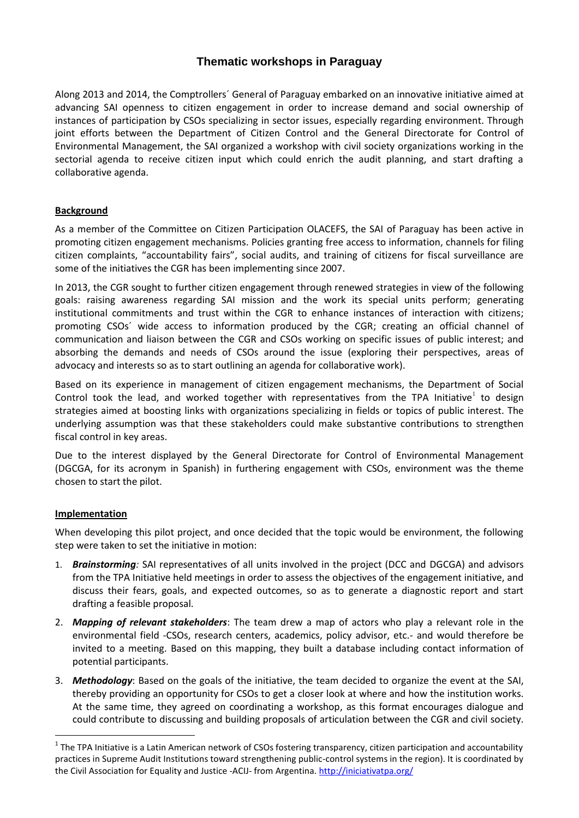# **Thematic workshops in Paraguay**

Along 2013 and 2014, the Comptrollers´ General of Paraguay embarked on an innovative initiative aimed at advancing SAI openness to citizen engagement in order to increase demand and social ownership of instances of participation by CSOs specializing in sector issues, especially regarding environment. Through joint efforts between the Department of Citizen Control and the General Directorate for Control of Environmental Management, the SAI organized a workshop with civil society organizations working in the sectorial agenda to receive citizen input which could enrich the audit planning, and start drafting a collaborative agenda.

## **Background**

As a member of the Committee on Citizen Participation OLACEFS, the SAI of Paraguay has been active in promoting citizen engagement mechanisms. Policies granting free access to information, channels for filing citizen complaints, "accountability fairs", social audits, and training of citizens for fiscal surveillance are some of the initiatives the CGR has been implementing since 2007.

In 2013, the CGR sought to further citizen engagement through renewed strategies in view of the following goals: raising awareness regarding SAI mission and the work its special units perform; generating institutional commitments and trust within the CGR to enhance instances of interaction with citizens; promoting CSOs´ wide access to information produced by the CGR; creating an official channel of communication and liaison between the CGR and CSOs working on specific issues of public interest; and absorbing the demands and needs of CSOs around the issue (exploring their perspectives, areas of advocacy and interests so as to start outlining an agenda for collaborative work).

Based on its experience in management of citizen engagement mechanisms, the Department of Social Control took the lead, and worked together with representatives from the TPA Initiative<sup>1</sup> to design strategies aimed at boosting links with organizations specializing in fields or topics of public interest. The underlying assumption was that these stakeholders could make substantive contributions to strengthen fiscal control in key areas.

Due to the interest displayed by the General Directorate for Control of Environmental Management (DGCGA, for its acronym in Spanish) in furthering engagement with CSOs, environment was the theme chosen to start the pilot.

### **Implementation**

-

When developing this pilot project, and once decided that the topic would be environment, the following step were taken to set the initiative in motion:

- 1. *Brainstorming:* SAI representatives of all units involved in the project (DCC and DGCGA) and advisors from the TPA Initiative held meetings in order to assess the objectives of the engagement initiative, and discuss their fears, goals, and expected outcomes, so as to generate a diagnostic report and start drafting a feasible proposal.
- 2. *Mapping of relevant stakeholders*: The team drew a map of actors who play a relevant role in the environmental field -CSOs, research centers, academics, policy advisor, etc.- and would therefore be invited to a meeting. Based on this mapping, they built a database including contact information of potential participants.
- 3. *Methodology*: Based on the goals of the initiative, the team decided to organize the event at the SAI, thereby providing an opportunity for CSOs to get a closer look at where and how the institution works. At the same time, they agreed on coordinating a workshop, as this format encourages dialogue and could contribute to discussing and building proposals of articulation between the CGR and civil society.

 $1$ The TPA Initiative is a Latin American network of CSOs fostering transparency, citizen participation and accountability practices in Supreme Audit Institutions toward strengthening public-control systems in the region). It is coordinated by the Civil Association for Equality and Justice -ACIJ- from Argentina. <http://iniciativatpa.org/>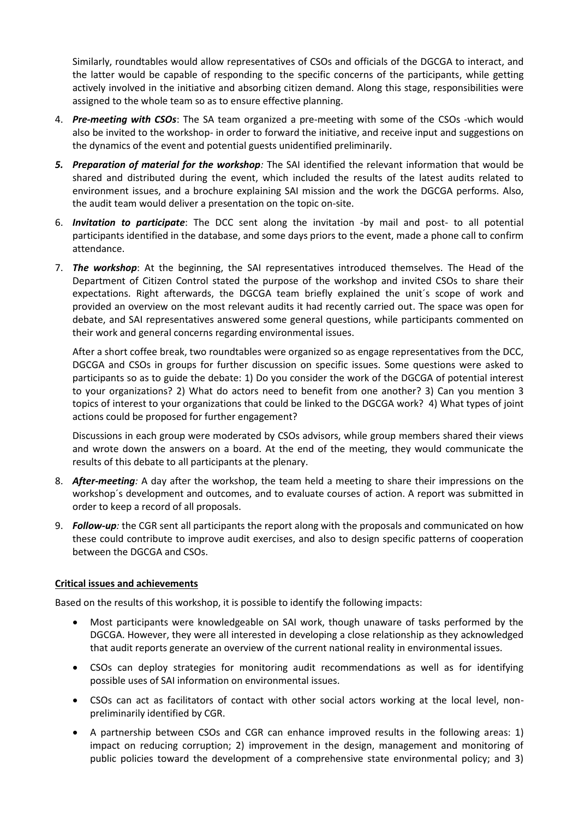Similarly, roundtables would allow representatives of CSOs and officials of the DGCGA to interact, and the latter would be capable of responding to the specific concerns of the participants, while getting actively involved in the initiative and absorbing citizen demand. Along this stage, responsibilities were assigned to the whole team so as to ensure effective planning.

- 4. *Pre-meeting with CSOs*: The SA team organized a pre-meeting with some of the CSOs -which would also be invited to the workshop- in order to forward the initiative, and receive input and suggestions on the dynamics of the event and potential guests unidentified preliminarily.
- *5. Preparation of material for the workshop:* The SAI identified the relevant information that would be shared and distributed during the event, which included the results of the latest audits related to environment issues, and a brochure explaining SAI mission and the work the DGCGA performs. Also, the audit team would deliver a presentation on the topic on-site.
- 6. *Invitation to participate*: The DCC sent along the invitation -by mail and post- to all potential participants identified in the database, and some days priors to the event, made a phone call to confirm attendance.
- 7. *The workshop*: At the beginning, the SAI representatives introduced themselves. The Head of the Department of Citizen Control stated the purpose of the workshop and invited CSOs to share their expectations. Right afterwards, the DGCGA team briefly explained the unit´s scope of work and provided an overview on the most relevant audits it had recently carried out. The space was open for debate, and SAI representatives answered some general questions, while participants commented on their work and general concerns regarding environmental issues.

After a short coffee break, two roundtables were organized so as engage representatives from the DCC, DGCGA and CSOs in groups for further discussion on specific issues. Some questions were asked to participants so as to guide the debate: 1) Do you consider the work of the DGCGA of potential interest to your organizations? 2) What do actors need to benefit from one another? 3) Can you mention 3 topics of interest to your organizations that could be linked to the DGCGA work? 4) What types of joint actions could be proposed for further engagement?

Discussions in each group were moderated by CSOs advisors, while group members shared their views and wrote down the answers on a board. At the end of the meeting, they would communicate the results of this debate to all participants at the plenary.

- 8. *After-meeting:* A day after the workshop, the team held a meeting to share their impressions on the workshop´s development and outcomes, and to evaluate courses of action. A report was submitted in order to keep a record of all proposals.
- 9. *Follow-up:* the CGR sent all participants the report along with the proposals and communicated on how these could contribute to improve audit exercises, and also to design specific patterns of cooperation between the DGCGA and CSOs.

## **Critical issues and achievements**

Based on the results of this workshop, it is possible to identify the following impacts:

- Most participants were knowledgeable on SAI work, though unaware of tasks performed by the DGCGA. However, they were all interested in developing a close relationship as they acknowledged that audit reports generate an overview of the current national reality in environmental issues.
- CSOs can deploy strategies for monitoring audit recommendations as well as for identifying possible uses of SAI information on environmental issues.
- CSOs can act as facilitators of contact with other social actors working at the local level, nonpreliminarily identified by CGR.
- A partnership between CSOs and CGR can enhance improved results in the following areas: 1) impact on reducing corruption; 2) improvement in the design, management and monitoring of public policies toward the development of a comprehensive state environmental policy; and 3)